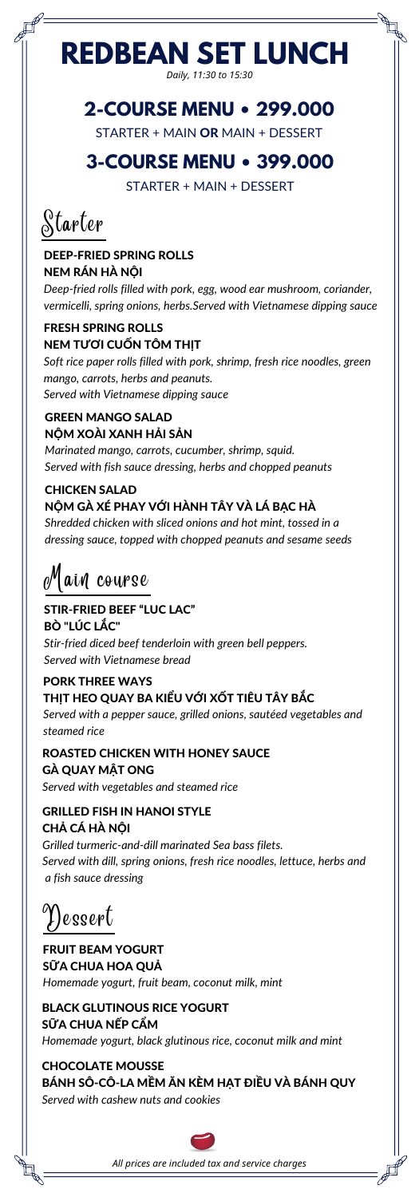# **REDBEAN SET LUNCH**

*Daily, 11:30 to 15:30*

Starter

#### DEEP-FRIED SPRING ROLLS NEM RÁN HÀ NỘI

#### FRESH SPRING ROLLS NEM TƯƠI CUỐN TÔM THIT

*Deep-fried rolls filled with pork, egg, wood ear mushroom, coriander, vermicelli, spring onions, herbs.Served with Vietnamese dipping sauce*

*Soft rice paper rolls filled with pork, shrimp, fresh rice noodles, green mango, carrots, herbs and peanuts. Served with Vietnamese dipping sauce*

#### GREEN MANGO SALAD NỘM XOÀI XANH HẢI SẢN

*Marinated mango, carrots, cucumber, shrimp, squid. Served with fish sauce dressing, herbs and chopped peanuts*

### CHICKEN SALAD NỘM GÀ XÉ PHAY VỚI HÀNH TÂY VÀ LÁ BẠC HÀ

*Shredded chicken with sliced onions and hot mint, tossed in a dressing sauce, topped with chopped peanuts and sesame seeds*

#### FRUIT BEAM YOGURT SỮA CHUA HOA QUẢ

*Homemade yogurt, fruit beam, coconut milk, mint*

#### CHOCOLATE MOUSSE BÁNH SÔ-CÔ-LA MỀM ĂN KÈM HẠT ĐIỀU VÀ BÁNH QUY

*Served with cashew nuts and cookies*



#### BLACK GLUTINOUS RICE YOGURT SỮA CHUA NẾP CẨM

*Homemade yogurt, black glutinous rice, coconut milk and mint*

Dessert

### STIR-FRIED BEEF "LUC LAC" BÒ "LÚC LẮC"

*Stir-fried diced beef tenderloin with green bell peppers. Served with Vietnamese bread*

Main course

ROASTED CHICKEN WITH HONEY SAUCE GÀ QUAY MẬT ONG *Served with vegetables and steamed rice*

### GRILLED FISH IN HANOI STYLE CHẢ CÁ HÀ NỘI

*Grilled turmeric-and-dill marinated Sea bass filets. Served with dill, spring onions, fresh rice noodles, lettuce, herbs and a fish sauce dressing*

#### PORK THREE WAYS THỊT HEO QUAY BA KIẾU VỚI XỐT TIÊU TÂY BẮC *Served with a pepper sauce, grilled onions, sautéed vegetables and steamed rice*

### **2-COURSE MENU • 299.000**

STARTER + MAIN OR MAIN + DESSERT

### **3-COURSE MENU • 399.000**

STARTER + MAIN + DESSERT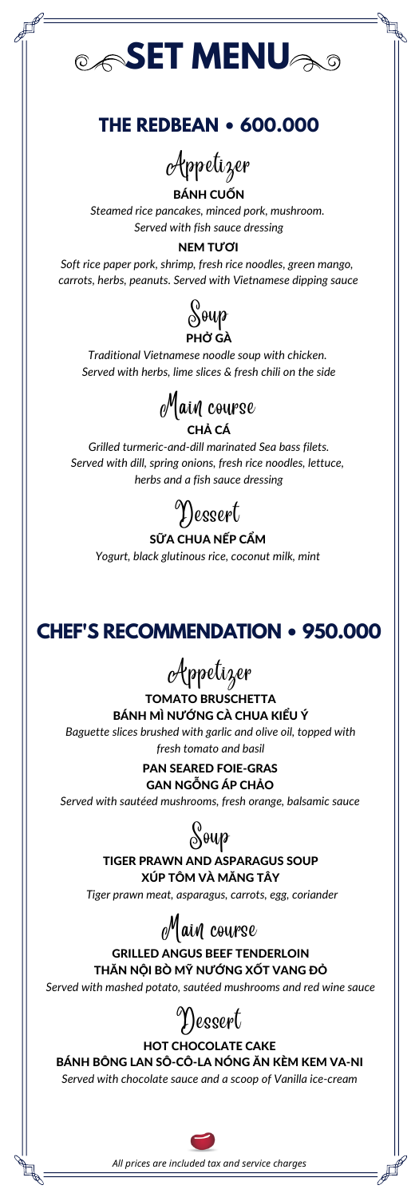# *SET MENU*

### **THE REDBEAN • 600.000**

BÁNH CUỐN

*Steamed rice pancakes, minced pork, mushroom. Served with fish sauce dressing*

#### **NEM TƯỜI**

Appetizer

*Soft rice paper pork, shrimp, fresh rice noodles, green mango, carrots, herbs, peanuts. Served with Vietnamese dipping sauce*

> SỮA CHUA NẾP CẨM *Yogurt, black glutinous rice, coconut milk, mint*

TOMATO BRUSCHETTA BÁNH MÌ NƯỚNG CÀ CHUA KIỂU Ý



*Traditional Vietnamese noodle soup with chicken. Served with herbs, lime slices & fresh chili on the side*

*Grilled turmeric-and-dill marinated Sea bass filets. Served with dill, spring onions, fresh rice noodles, lettuce, herbs and a fish sauce dressing*





*Baguette slices brushed with garlic and olive oil, topped with fresh tomato and basil*

Appetizer

PAN SEARED FOIE-GRAS GAN NGỖNG ÁP CHẢO

*Served with sautéed mushrooms, fresh orange, balsamic sauce*

#### TIGER PRAWN AND ASPARAGUS SOUP XÚP TÔM VÀ MĂNG TÂY

*Tiger prawn meat, asparagus, carrots, egg, coriander*



#### GRILLED ANGUS BEEF TENDERLOIN THĂN NỘI BÒ MỸ NƯỚNG XỐT VANG ĐỎ

*Served with mashed potato, sautéed mushrooms and red wine sauce*

Main course

#### HOT CHOCOLATE CAKE BÁNH BÔNG LAN SÔ-CÔ-LA NÓNG ĂN KÈM KEM VA-NI

*Served with chocolate sauce and a scoop of Vanilla ice-cream*





**CHEF'S RECOMMENDATION • 950.000**

*All prices are included tax and service charges*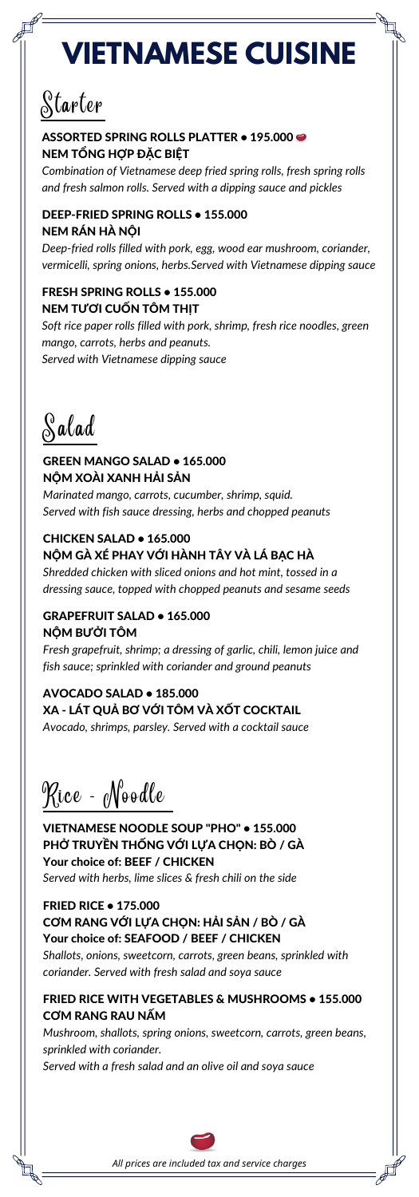# **VIETNAMESE CUISINE**

*Combination of Vietnamese deep fried spring rolls, fresh spring rolls and fresh salmon rolls. Served with a dipping sauce and pickles*

## Starter

#### ASSORTED SPRING ROLLS PLATTER . 195.000 NEM TỔNG HỢP ĐẶC BIỆT

#### DEEP-FRIED SPRING ROLLS • 155.000 NEM RÁN HÀ NỘI

*Deep-fried rolls filled with pork, egg, wood ear mushroom, coriander, vermicelli, spring onions, herbs.Served with Vietnamese dipping sauce*

#### FRESH SPRING ROLLS • 155.000 NEM TƯƠI CUỐN TÔM THỊT

*Soft rice paper rolls filled with pork, shrimp, fresh rice noodles, green mango, carrots, herbs and peanuts. Served with Vietnamese dipping sauce*

Salad

#### GREEN MANGO SALAD • 165.000 NỘM XOÀI XANH HẢI SẢN

*Marinated mango, carrots, cucumber, shrimp, squid. Served with fish sauce dressing, herbs and chopped peanuts*

#### CHICKEN SALAD • 165.000 NỘM GÀ XÉ PHAY VỚI HÀNH TÂY VÀ LÁ BẠC HÀ

*Shredded chicken with sliced onions and hot mint, tossed in a dressing sauce, topped with chopped peanuts and sesame seeds*

#### GRAPEFRUIT SALAD • 165.000 NỘM BƯỞI TÔM

*Fresh grapefruit, shrimp; a dressing of garlic, chili, lemon juice and fish sauce; sprinkled with coriander and ground peanuts*

AVOCADO SALAD • 185.000 XA - LÁT QUẢ BƠ VỚI TÔM VÀ XỐT COCKTAIL *Avocado, shrimps, parsley. Served with a cocktail sauce*

Rice - Noodle

VIETNAMESE NOODLE SOUP "PHO" • 155.000 PHỞ TRUYỀN THỐNG VỚI LỰA CHỌN: BÒ / GÀ Your choice of: BEEF / CHICKEN *Served with herbs, lime slices & fresh chili on the side*

FRIED RICE • 175.000 CƠM RANG VỚI LỰA CHỌN: HẢI SẢN / BÒ / GÀ Your choice of: SEAFOOD / BEEF / CHICKEN

*Shallots, onions, sweetcorn, carrots, green beans, sprinkled with coriander. Served with fresh salad and soya sauce*

#### FRIED RICE WITH VEGETABLES & MUSHROOMS • 155.000 CƠM RANG RAU NẤM

*Mushroom, shallots, spring onions, sweetcorn, carrots, green beans, sprinkled with coriander.*

*Served with a fresh salad and an olive oil and soya sauce*

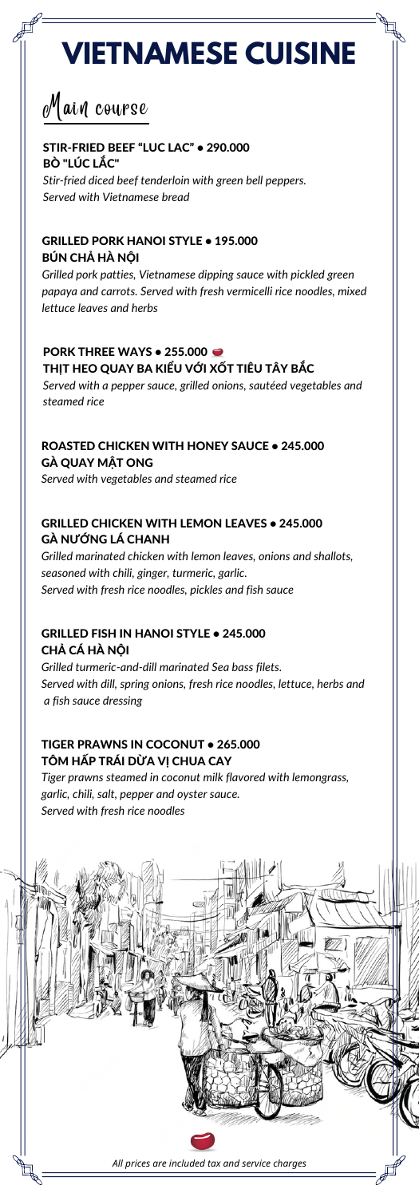

# **VIETNAMESE CUISINE**

#### STIR-FRIED BEEF "LUC LAC" • 290.000 BÒ "LÚC LẮC"

*Stir-fried diced beef tenderloin with green bell peppers. Served with Vietnamese bread*

#### GRILLED PORK HANOI STYLE • 195.000 BÚN CHẢ HÀ NỘI

#### PORK THREE WAYS • 255.000 THỊT HEO QUAY BA KIỂU VỚI XỐT TIÊU TÂY BẮC

*Grilled pork patties, Vietnamese dipping sauce with pickled green papaya and carrots. Served with fresh vermicelli rice noodles, mixed lettuce leaves and herbs*

*Served with a pepper sauce, grilled onions, sautéed vegetables and steamed rice*

#### TIGER PRAWNS IN COCONUT • 265.000 TÔM HẤP TRÁI DỪA VỊ CHUA CAY

Main course

#### ROASTED CHICKEN WITH HONEY SAUCE • 245.000 GÀ QUAY MẬT ONG

*Served with vegetables and steamed rice*

#### GRILLED CHICKEN WITH LEMON LEAVES • 245.000 GÀ NƯỚNG LÁ CHANH

*Grilled marinated chicken with lemon leaves, onions and shallots, seasoned with chili, ginger, turmeric, garlic. Served with fresh rice noodles, pickles and fish sauce*

#### GRILLED FISH IN HANOI STYLE • 245.000 CHẢ CÁ HÀ NỘI

*Grilled turmeric-and-dill marinated Sea bass filets. Served with dill, spring onions, fresh rice noodles, lettuce, herbs and a fish sauce dressing*

*Tiger prawns steamed in coconut milk flavored with lemongrass, garlic, chili, salt, pepper and oyster sauce. Served with fresh rice noodles*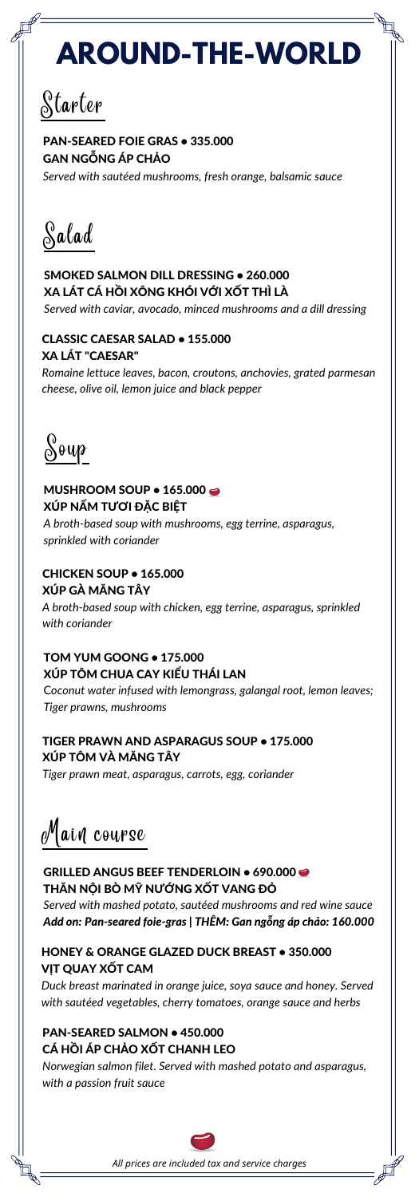Starter

#### PAN-SEARED FOIE GRAS • 335.000 GAN NGỖNG ÁP CHẢO

#### MUSHROOM SOUP  $\bullet$  165.000  $\bullet$ XÚP NẤM TƯƠI ĐẶC BIỆT

*Served with sautéed mushrooms, fresh orange, balsamic sauce*

*A broth-based soup with mushrooms, egg terrine, asparagus, sprinkled with coriander*

#### CHICKEN SOUP • 165.000 XÚP GÀ MĂNG TÂY

*A broth-based soup with chicken, egg terrine, asparagus, sprinkled with coriander*

#### TOM YUM GOONG • 175.000 XÚP TÔM CHUA CAY KIỂU THÁI LAN

C*oconut water infused with lemongrass, galangal root, lemon leaves; Tiger prawns, mushrooms*

Soup

GRILLED ANGUS BEEF TENDERLOIN . 690.000 THĂN NỘI BÒ MỸ NƯỚNG XỐT VANG ĐỎ *Served with mashed potato, sautéed mushrooms and red wine sauce Add on: Pan-seared foie-gras | THÊM: Gan ngỗng áp chảo: 160.000*

#### TIGER PRAWN AND ASPARAGUS SOUP • 175.000 XÚP TÔM VÀ MĂNG TÂY

*Tiger prawn meat, asparagus, carrots, egg, coriander*

Salad

#### PAN-SEARED SALMON . 450.000 CÁ HỒI ÁP CHẢO XỐT CHANH LEO

#### SMOKED SALMON DILL DRESSING • 260.000 XA LÁT CÁ HỒI XÔNG KHÓI VỚI XỐT THÌ LÀ

*Served with caviar, avocado, minced mushrooms and a dill dressing*

#### CLASSIC CAESAR SALAD • 155.000 XA LÁT "CAESAR"

*Romaine lettuce leaves, bacon, croutons, anchovies, grated parmesan cheese, olive oil, lemon juice and black pepper*

#### HONEY & ORANGE GLAZED DUCK BREAST • 350.000 VỊT QUAY XỐT CAM

*Duck breast marinated in orange juice, soya sauce and honey. Served with sautéed vegetables, cherry tomatoes, orange sauce and herbs*

*Norwegian salmon filet. Served with mashed potato and asparagus, with a passion fruit sauce*



Main course

# **AROUND-THE-WORLD**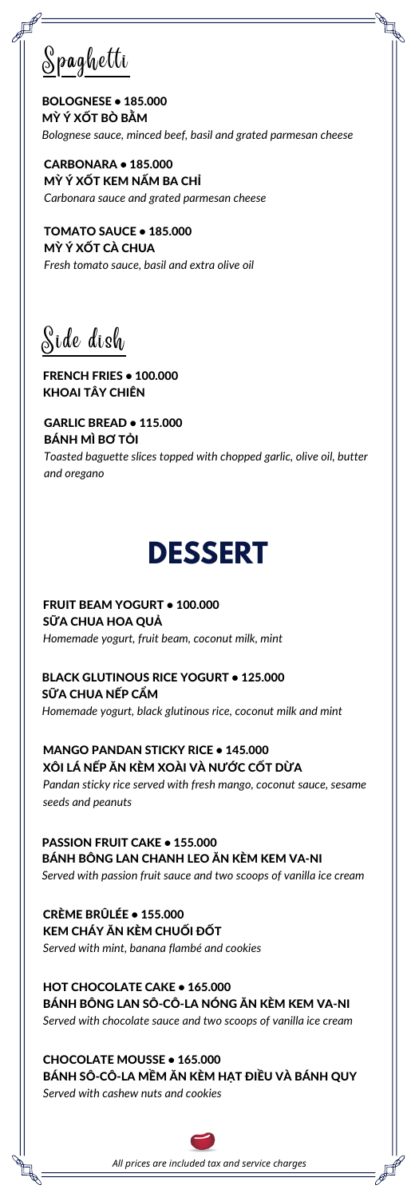FRENCH FRIES • 100.000 KHOAI TÂY CHIÊN

Side dish

GARLIC BREAD • 115.000 BÁNH MÌ BƠ TỎI

*Toasted baguette slices topped with chopped garlic, olive oil, butter and oregano*

BOLOGNESE • 185.000 MỲ Ý XỐT BÒ BẰM *Bolognese sauce, minced beef, basil and grated parmesan cheese*

Spaghetti

CARBONARA • 185.000 MỲ Ý XỐT KEM NẤM BA CHỈ *Carbonara sauce and grated parmesan cheese*

#### HOT CHOCOLATE CAKE . 165.000 BÁNH BÔNG LAN SÔ-CÔ-LA NÓNG ĂN KÈM KEM VA-NI

TOMATO SAUCE • 185.000 MỲ Ý XỐT CÀ CHUA *Fresh tomato sauce, basil and extra olive oil*

FRUIT BEAM YOGURT • 100.000 SỮA CHUA HOA QUẢ *Homemade yogurt, fruit beam, coconut milk, mint*

SỮA CHUA NẾP CẦM *Homemade yogurt, black glutinous rice, coconut milk and mint*

PASSION FRUIT CAKE • 155.000 BÁNH BÔNG LAN CHANH LEO ĂN KÈM KEM VA-NI *Served with passion fruit sauce and two scoops of vanilla ice cream*

*Served with chocolate sauce and two scoops of vanilla ice cream*

#### CHOCOLATE MOUSSE • 165.000 BÁNH SÔ-CÔ-LA MỀM ĂN KÈM HẠT ĐIỀU VÀ BÁNH QUY

*Served with cashew nuts and cookies*



CRÈME BRÛLÉE • 155.000 KEM CHÁY ĂN KÈM CHUỐI ĐỐT *Served with mint, banana flambé and cookies*

BLACK GLUTINOUS RICE YOGURT • 125.000

MANGO PANDAN STICKY RICE • 145.000 XÔI LÁ NẾP ĂN KÈM XOÀI VÀ NƯỚC CỐT DỪA

*Pandan sticky rice served with fresh mango, coconut sauce, sesame seeds and peanuts*

### **DESSERT**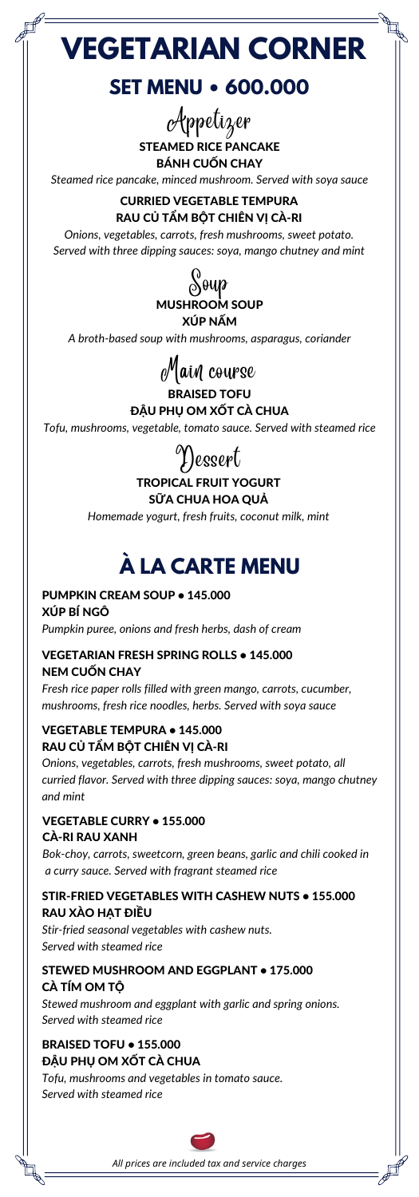**VEGETARIAN CORNER**

PUMPKIN CREAM SOUP • 145.000 XÚP BÍ NGÔ *Pumpkin puree, onions and fresh herbs, dash of cream*

#### VEGETABLE TEMPURA • 145.000 RAU CỦ TẦM BỘT CHIÊN VI CÀ-RI

#### VEGETARIAN FRESH SPRING ROLLS • 145.000 NEM CUỐN CHAY

*Fresh rice paper rolls filled with green mango, carrots, cucumber, mushrooms, fresh rice noodles, herbs. Served with soya sauce*

*Onions, vegetables, carrots, fresh mushrooms, sweet potato, all curried flavor. Served with three dipping sauces: soya, mango chutney and mint*

#### VEGETABLE CURRY • 155.000 CÀ-RI RAU XANH

*Bok-choy, carrots, sweetcorn, green beans, garlic and chili cooked in a curry sauce. Served with fragrant steamed rice*

#### STIR-FRIED VEGETABLES WITH CASHEW NUTS • 155.000 RAU XÀO HẠT ĐIỀU

*Stir-fried seasonal vegetables with cashew nuts. Served with steamed rice*

#### BRAISED TOFU • 155.000 ĐẬU PHỤ OM XỐT CÀ CHUA

*Tofu, mushrooms and vegetables in tomato sauce. Served with steamed rice*



#### STEWED MUSHROOM AND EGGPLANT • 175.000 CÀ TÍM OM TỘ

*Stewed mushroom and eggplant with garlic and spring onions. Served with steamed rice*

### **À LA CARTE MENU**

### **SET MENU • 600.000**

*Steamed rice pancake, minced mushroom. Served with soya sauce*

CURRIED VEGETABLE TEMPURA RAU CỦ TẨM BỘT CHIÊN VỊ CÀ-RI

*Onions, vegetables, carrots, fresh mushrooms, sweet potato. Served with three dipping sauces: soya, mango chutney and mint*

STEAMED RICE PANCAKE BÁNH CUỐN CHAY Appetizer



*A broth-based soup with mushrooms, asparagus, coriander*

#### BRAISED TOFU ĐẬU PHỤ OM XỐT CÀ CHUA

*Tofu, mushrooms, vegetable, tomato sauce. Served with steamed rice*



#### TROPICAL FRUIT YOGURT SỮA CHUA HOA QUẢ

*Homemade yogurt, fresh fruits, coconut milk, mint*

Dessert